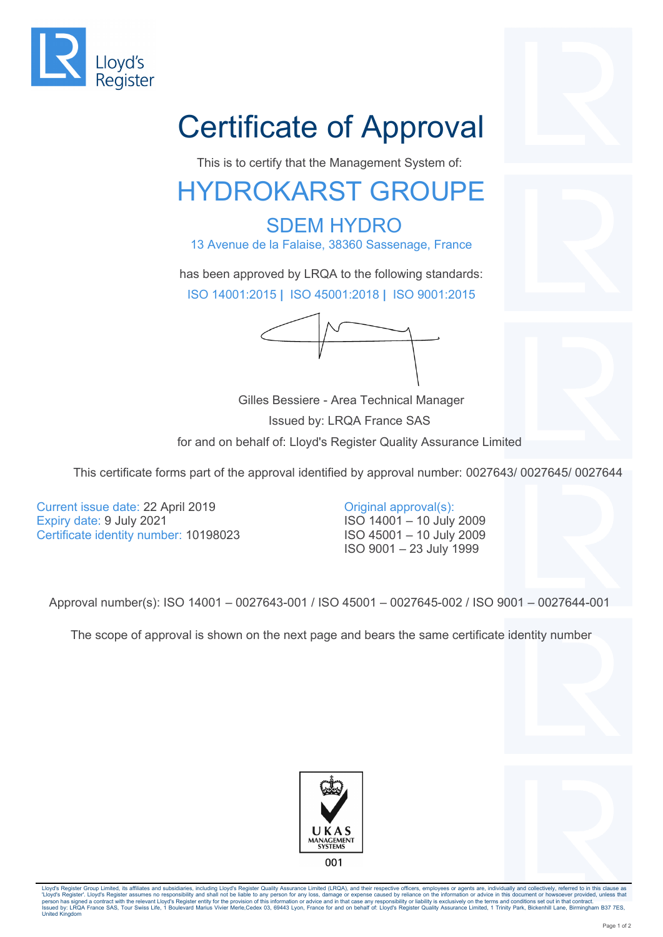

## Certificate of Approval

This is to certify that the Management System of:

## HYDROKARST GROUPE

 SDEM HYDRO 13 Avenue de la Falaise, 38360 Sassenage, France

has been approved by LRQA to the following standards: ISO 14001:2015 **|** ISO 45001:2018 **|** ISO 9001:2015

 Gilles Bessiere - Area Technical Manager Issued by: LRQA France SAS for and on behalf of: Lloyd's Register Quality Assurance Limited



Current issue date: 22 April 2019 Expiry date: 9 July 2021 Certificate identity number: 10198023

## Original approval(s):

ISO 14001 – 10 July 2009 ISO 45001 – 10 July 2009 ISO 9001 – 23 July 1999

Approval number(s): ISO 14001 – 0027643-001 / ISO 45001 – 0027645-002 / ISO 9001 – 0027644-001

The scope of approval is shown on the next page and bears the same certificate identity number





Lloyd's Register Group Limited, its affiliates and subsidiaries, including Lloyd's Register Quality Assurance Limited (LRQA), and their respective officers, employees or agents are, individually and collectively, referred 'Lloyd's Register'. Lloyd's Register assumes no responsibility and shall not be liable to any person for any loss, damage or expense caused by reliance on the information or advice in this document or howsoever provided, u United Kingdom